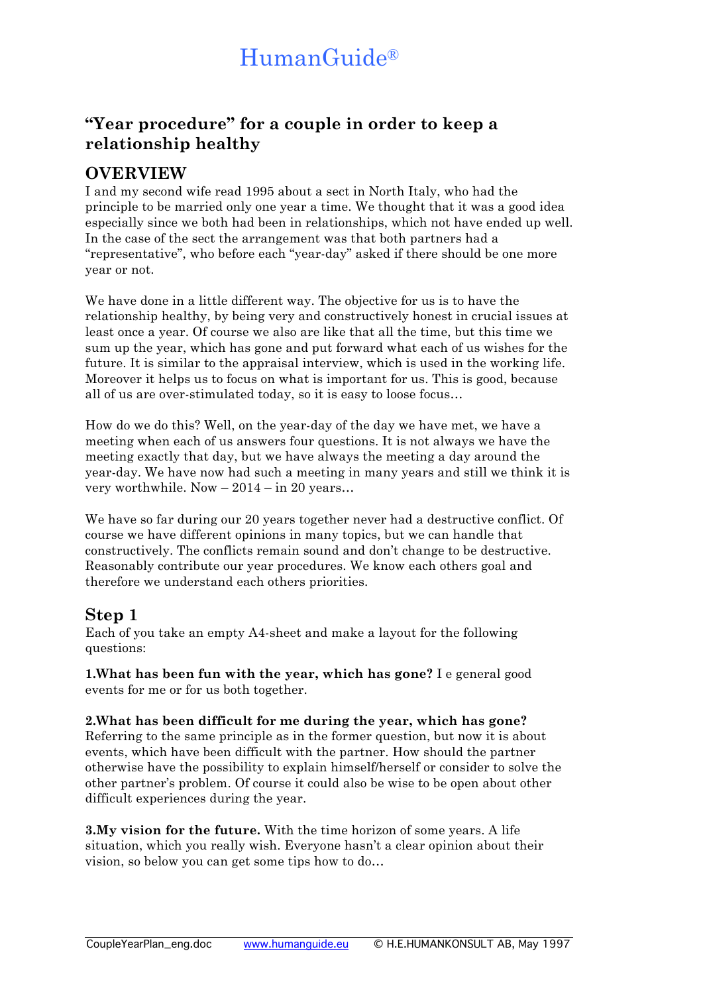## **"Year procedure" for a couple in order to keep a relationship healthy**

### **OVERVIEW**

I and my second wife read 1995 about a sect in North Italy, who had the principle to be married only one year a time. We thought that it was a good idea especially since we both had been in relationships, which not have ended up well. In the case of the sect the arrangement was that both partners had a "representative", who before each "year-day" asked if there should be one more year or not.

We have done in a little different way. The objective for us is to have the relationship healthy, by being very and constructively honest in crucial issues at least once a year. Of course we also are like that all the time, but this time we sum up the year, which has gone and put forward what each of us wishes for the future. It is similar to the appraisal interview, which is used in the working life. Moreover it helps us to focus on what is important for us. This is good, because all of us are over-stimulated today, so it is easy to loose focus…

How do we do this? Well, on the year-day of the day we have met, we have a meeting when each of us answers four questions. It is not always we have the meeting exactly that day, but we have always the meeting a day around the year-day. We have now had such a meeting in many years and still we think it is very worthwhile. Now – 2014 – in 20 years…

We have so far during our 20 years together never had a destructive conflict. Of course we have different opinions in many topics, but we can handle that constructively. The conflicts remain sound and don't change to be destructive. Reasonably contribute our year procedures. We know each others goal and therefore we understand each others priorities.

### **Step 1**

Each of you take an empty A4-sheet and make a layout for the following questions:

**1.What has been fun with the year, which has gone?** I e general good events for me or for us both together.

**2.What has been difficult for me during the year, which has gone?** Referring to the same principle as in the former question, but now it is about events, which have been difficult with the partner. How should the partner otherwise have the possibility to explain himself/herself or consider to solve the other partner's problem. Of course it could also be wise to be open about other difficult experiences during the year.

**3.My vision for the future.** With the time horizon of some years. A life situation, which you really wish. Everyone hasn't a clear opinion about their vision, so below you can get some tips how to do…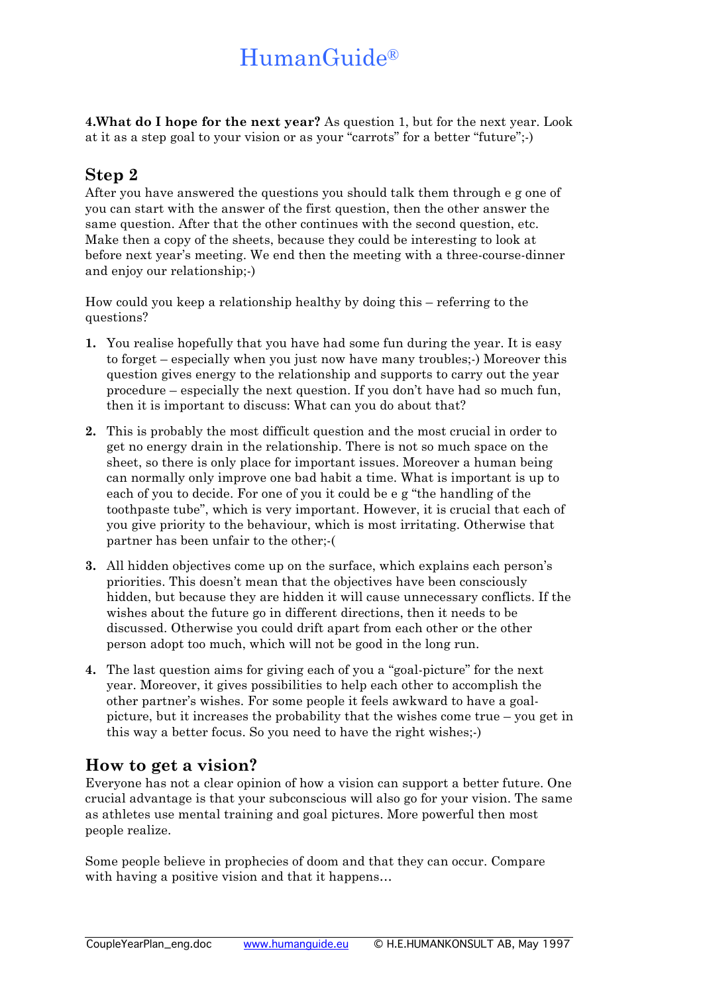**4.What do I hope for the next year?** As question 1, but for the next year. Look at it as a step goal to your vision or as your "carrots" for a better "future";-)

#### **Step 2**

After you have answered the questions you should talk them through e g one of you can start with the answer of the first question, then the other answer the same question. After that the other continues with the second question, etc. Make then a copy of the sheets, because they could be interesting to look at before next year's meeting. We end then the meeting with a three-course-dinner and enjoy our relationship;-)

How could you keep a relationship healthy by doing this – referring to the questions?

- **1.** You realise hopefully that you have had some fun during the year. It is easy to forget – especially when you just now have many troubles;-) Moreover this question gives energy to the relationship and supports to carry out the year procedure – especially the next question. If you don't have had so much fun, then it is important to discuss: What can you do about that?
- **2.** This is probably the most difficult question and the most crucial in order to get no energy drain in the relationship. There is not so much space on the sheet, so there is only place for important issues. Moreover a human being can normally only improve one bad habit a time. What is important is up to each of you to decide. For one of you it could be e g "the handling of the toothpaste tube", which is very important. However, it is crucial that each of you give priority to the behaviour, which is most irritating. Otherwise that partner has been unfair to the other;-(
- **3.** All hidden objectives come up on the surface, which explains each person's priorities. This doesn't mean that the objectives have been consciously hidden, but because they are hidden it will cause unnecessary conflicts. If the wishes about the future go in different directions, then it needs to be discussed. Otherwise you could drift apart from each other or the other person adopt too much, which will not be good in the long run.
- **4.** The last question aims for giving each of you a "goal-picture" for the next year. Moreover, it gives possibilities to help each other to accomplish the other partner's wishes. For some people it feels awkward to have a goalpicture, but it increases the probability that the wishes come true – you get in this way a better focus. So you need to have the right wishes;-)

### **How to get a vision?**

Everyone has not a clear opinion of how a vision can support a better future. One crucial advantage is that your subconscious will also go for your vision. The same as athletes use mental training and goal pictures. More powerful then most people realize.

Some people believe in prophecies of doom and that they can occur. Compare with having a positive vision and that it happens...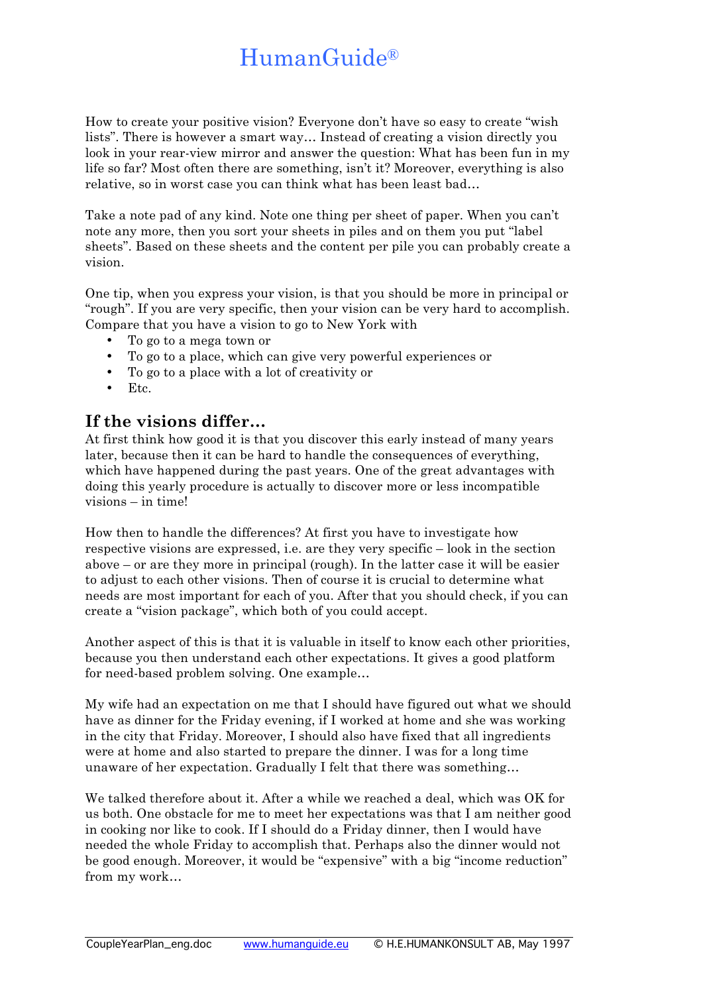How to create your positive vision? Everyone don't have so easy to create "wish lists". There is however a smart way… Instead of creating a vision directly you look in your rear-view mirror and answer the question: What has been fun in my life so far? Most often there are something, isn't it? Moreover, everything is also relative, so in worst case you can think what has been least bad…

Take a note pad of any kind. Note one thing per sheet of paper. When you can't note any more, then you sort your sheets in piles and on them you put "label sheets". Based on these sheets and the content per pile you can probably create a vision.

One tip, when you express your vision, is that you should be more in principal or "rough". If you are very specific, then your vision can be very hard to accomplish. Compare that you have a vision to go to New York with

- To go to a mega town or
- To go to a place, which can give very powerful experiences or
- To go to a place with a lot of creativity or
- Etc.

#### **If the visions differ…**

At first think how good it is that you discover this early instead of many years later, because then it can be hard to handle the consequences of everything, which have happened during the past years. One of the great advantages with doing this yearly procedure is actually to discover more or less incompatible visions – in time!

How then to handle the differences? At first you have to investigate how respective visions are expressed, i.e. are they very specific – look in the section above – or are they more in principal (rough). In the latter case it will be easier to adjust to each other visions. Then of course it is crucial to determine what needs are most important for each of you. After that you should check, if you can create a "vision package", which both of you could accept.

Another aspect of this is that it is valuable in itself to know each other priorities, because you then understand each other expectations. It gives a good platform for need-based problem solving. One example…

My wife had an expectation on me that I should have figured out what we should have as dinner for the Friday evening, if I worked at home and she was working in the city that Friday. Moreover, I should also have fixed that all ingredients were at home and also started to prepare the dinner. I was for a long time unaware of her expectation. Gradually I felt that there was something…

We talked therefore about it. After a while we reached a deal, which was OK for us both. One obstacle for me to meet her expectations was that I am neither good in cooking nor like to cook. If I should do a Friday dinner, then I would have needed the whole Friday to accomplish that. Perhaps also the dinner would not be good enough. Moreover, it would be "expensive" with a big "income reduction" from my work…